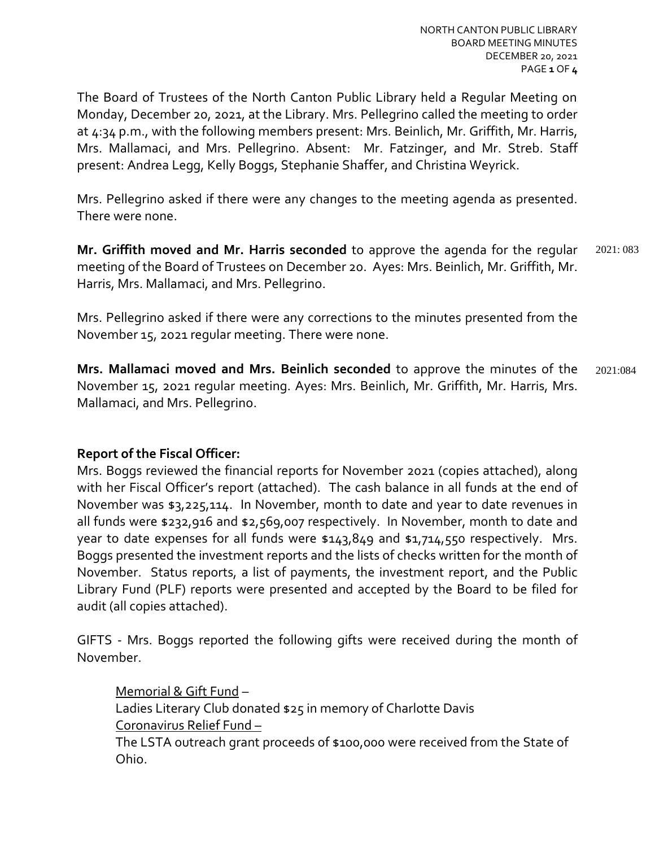The Board of Trustees of the North Canton Public Library held a Regular Meeting on Monday, December 20, 2021, at the Library. Mrs. Pellegrino called the meeting to order at 4:34 p.m., with the following members present: Mrs. Beinlich, Mr. Griffith, Mr. Harris, Mrs. Mallamaci, and Mrs. Pellegrino. Absent: Mr. Fatzinger, and Mr. Streb. Staff present: Andrea Legg, Kelly Boggs, Stephanie Shaffer, and Christina Weyrick.

Mrs. Pellegrino asked if there were any changes to the meeting agenda as presented. There were none.

**Mr. Griffith moved and Mr. Harris seconded** to approve the agenda for the regular meeting of the Board of Trustees on December 20. Ayes: Mrs. Beinlich, Mr. Griffith, Mr. Harris, Mrs. Mallamaci, and Mrs. Pellegrino. 2021: 083

Mrs. Pellegrino asked if there were any corrections to the minutes presented from the November 15, 2021 regular meeting. There were none.

**Mrs. Mallamaci moved and Mrs. Beinlich seconded** to approve the minutes of the November 15, 2021 regular meeting. Ayes: Mrs. Beinlich, Mr. Griffith, Mr. Harris, Mrs. Mallamaci, and Mrs. Pellegrino. 2021:084

# **Report of the Fiscal Officer:**

Mrs. Boggs reviewed the financial reports for November 2021 (copies attached), along with her Fiscal Officer's report (attached). The cash balance in all funds at the end of November was \$3,225,114. In November, month to date and year to date revenues in all funds were \$232,916 and \$2,569,007 respectively. In November, month to date and year to date expenses for all funds were \$143,849 and \$1,714,550 respectively. Mrs. Boggs presented the investment reports and the lists of checks written for the month of November. Status reports, a list of payments, the investment report, and the Public Library Fund (PLF) reports were presented and accepted by the Board to be filed for audit (all copies attached).

GIFTS - Mrs. Boggs reported the following gifts were received during the month of November.

Memorial & Gift Fund – Ladies Literary Club donated \$25 in memory of Charlotte Davis Coronavirus Relief Fund – The LSTA outreach grant proceeds of \$100,000 were received from the State of Ohio.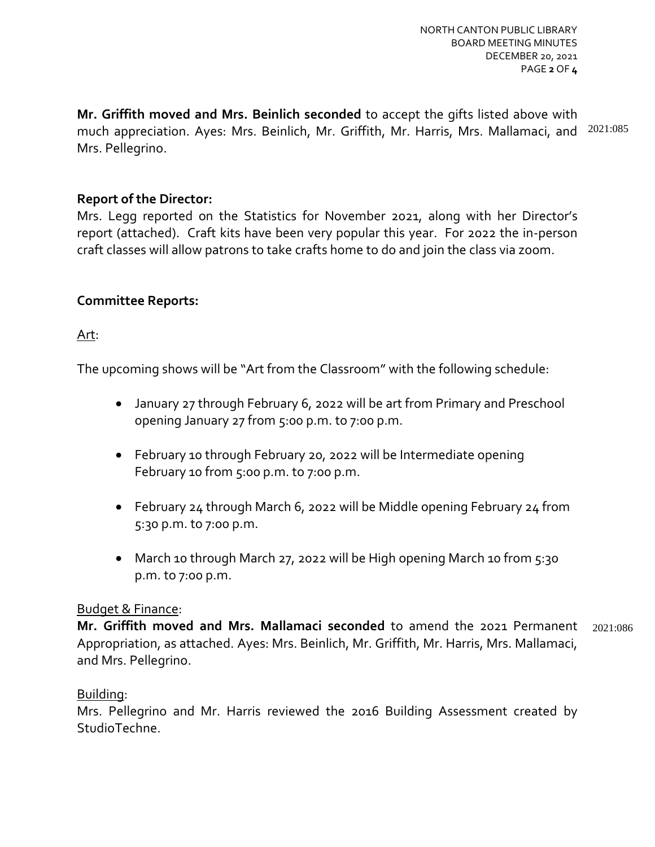**Mr. Griffith moved and Mrs. Beinlich seconded** to accept the gifts listed above with much appreciation. Ayes: Mrs. Beinlich, Mr. Griffith, Mr. Harris, Mrs. Mallamaci, and 2021:085 Mrs. Pellegrino.

## **Report of the Director:**

Mrs. Legg reported on the Statistics for November 2021, along with her Director's report (attached). Craft kits have been very popular this year. For 2022 the in-person craft classes will allow patrons to take crafts home to do and join the class via zoom.

## **Committee Reports:**

## Art:

The upcoming shows will be "Art from the Classroom" with the following schedule:

- January 27 through February 6, 2022 will be art from Primary and Preschool opening January 27 from 5:00 p.m. to 7:00 p.m.
- February 10 through February 20, 2022 will be Intermediate opening February 10 from 5:00 p.m. to 7:00 p.m.
- February 24 through March 6, 2022 will be Middle opening February 24 from 5:30 p.m. to 7:00 p.m.
- March 10 through March 27, 2022 will be High opening March 10 from 5:30 p.m. to 7:00 p.m.

## Budget & Finance:

**Mr. Griffith moved and Mrs. Mallamaci seconded** to amend the 2021 Permanent Appropriation, as attached. Ayes: Mrs. Beinlich, Mr. Griffith, Mr. Harris, Mrs. Mallamaci, and Mrs. Pellegrino. 2021:086

## Building:

Mrs. Pellegrino and Mr. Harris reviewed the 2016 Building Assessment created by StudioTechne.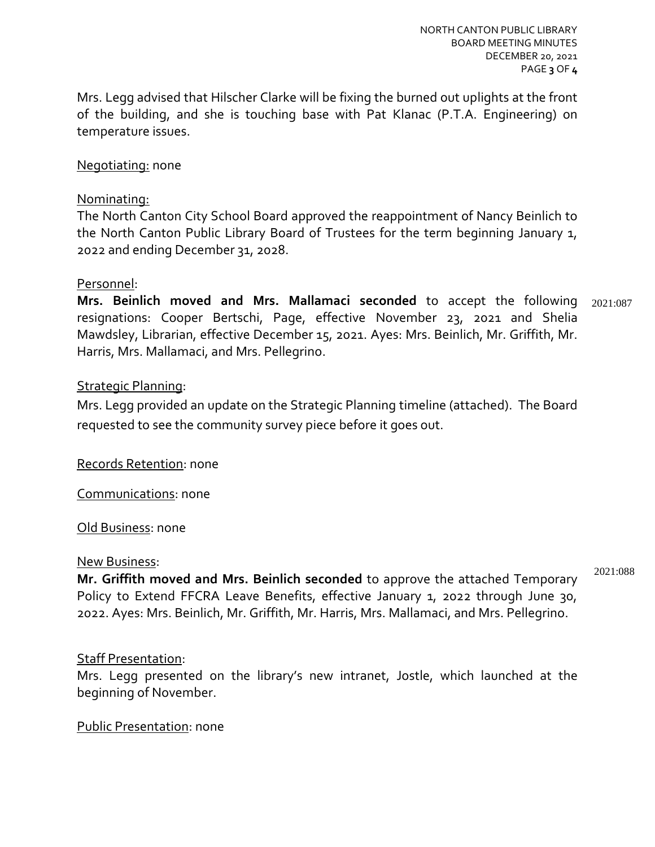Mrs. Legg advised that Hilscher Clarke will be fixing the burned out uplights at the front of the building, and she is touching base with Pat Klanac (P.T.A. Engineering) on temperature issues.

#### Negotiating: none

#### Nominating:

The North Canton City School Board approved the reappointment of Nancy Beinlich to the North Canton Public Library Board of Trustees for the term beginning January 1, 2022 and ending December 31, 2028.

#### Personnel:

**Mrs. Beinlich moved and Mrs. Mallamaci seconded** to accept the following resignations: Cooper Bertschi, Page, effective November 23, 2021 and Shelia Mawdsley, Librarian, effective December 15, 2021. Ayes: Mrs. Beinlich, Mr. Griffith, Mr. Harris, Mrs. Mallamaci, and Mrs. Pellegrino. 2021:087

### Strategic Planning:

Mrs. Legg provided an update on the Strategic Planning timeline (attached). The Board requested to see the community survey piece before it goes out.

Records Retention: none

Communications: none

#### Old Business: none

#### New Business:

**Mr. Griffith moved and Mrs. Beinlich seconded** to approve the attached Temporary Policy to Extend FFCRA Leave Benefits, effective January 1, 2022 through June 30, 2022. Ayes: Mrs. Beinlich, Mr. Griffith, Mr. Harris, Mrs. Mallamaci, and Mrs. Pellegrino.

# Staff Presentation:

Mrs. Legg presented on the library's new intranet, Jostle, which launched at the beginning of November.

#### Public Presentation: none

2021:088